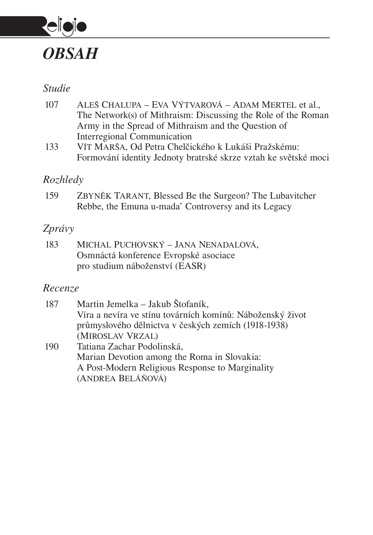

### *Studie*

- 107 Aleš Chalupa Eva Výtvarová Adam Mertel et al., The Network(s) of Mithraism: Discussing the Role of the Roman Army in the Spread of Mithraism and the Question of Interregional Communication
- 133 Vít Marša, Od Petra Chelčického k Lukáši Pražskému: Formování identity Jednoty bratrské skrze vztah ke světské moci

## *Rozhledy*

159 Zbyněk Tarant, Blessed Be the Surgeon? The Lubavitcher Rebbe, the Emuna u-mada' Controversy and its Legacy

## *Zprávy*

183 Michal Puchovský – Jana Nenadalová, Osmnáctá konference Evropské asociace pro studium náboženství (EASR)

(Andrea Beláňová)

## *Recenze*

| 187 | Martin Jemelka – Jakub Štofaník,                          |
|-----|-----------------------------------------------------------|
|     | Víra a nevíra ve stínu továrních komínů: Náboženský život |
|     | průmyslového dělnictva v českých zemích (1918-1938)       |
|     | (MIROSLAV VRZAL)                                          |
| 190 | Tatiana Zachar Podolinská,                                |
|     | Marian Devotion among the Roma in Slovakia:               |
|     | A Post-Modern Religious Response to Marginality           |